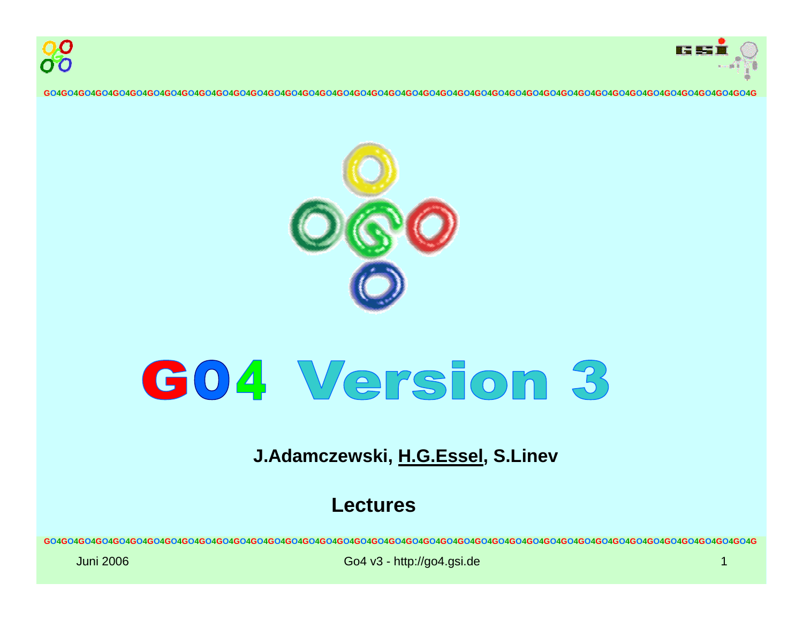





# G04 Version 3

# **J. A d a mcze wski, H.G.Essel, S.Linev**

## **Lectures**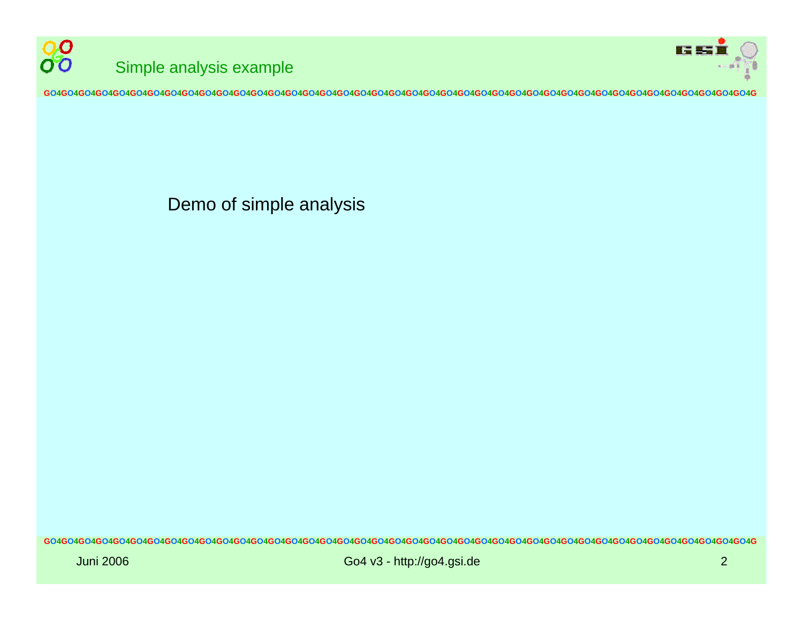



Demo of simple analysis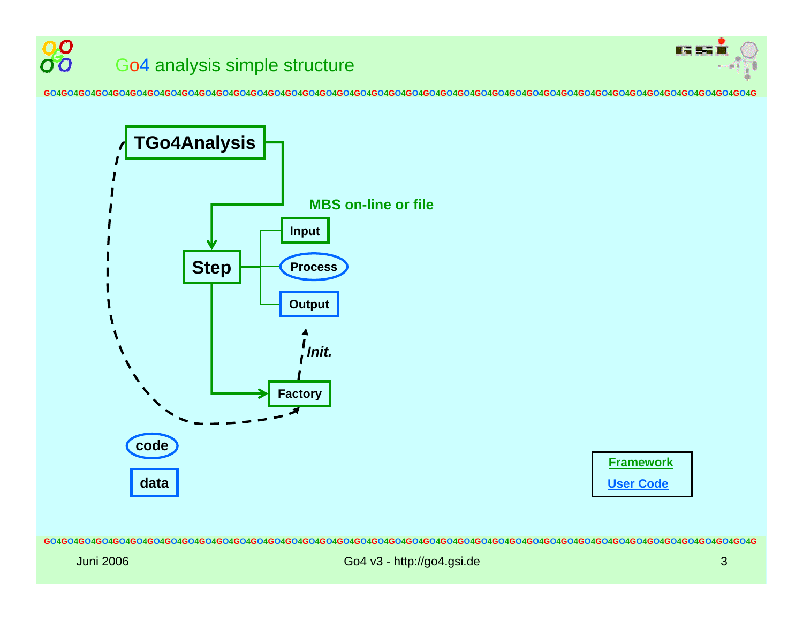

#### 00 G o 4 analysis simple structure 00

**GO4GO4GO4GO4GO4GO4GO4GO4GO4GO4GO4GO4GO4GO4GO4GO4GO4GO4GO4GO4GO4GO4GO4GO4GO4GO4GO4GO4GO4GO4GO4GO4GO4GO4GO4GO4GO4GO4GO4GO4GO4G**



**Frame work User Code**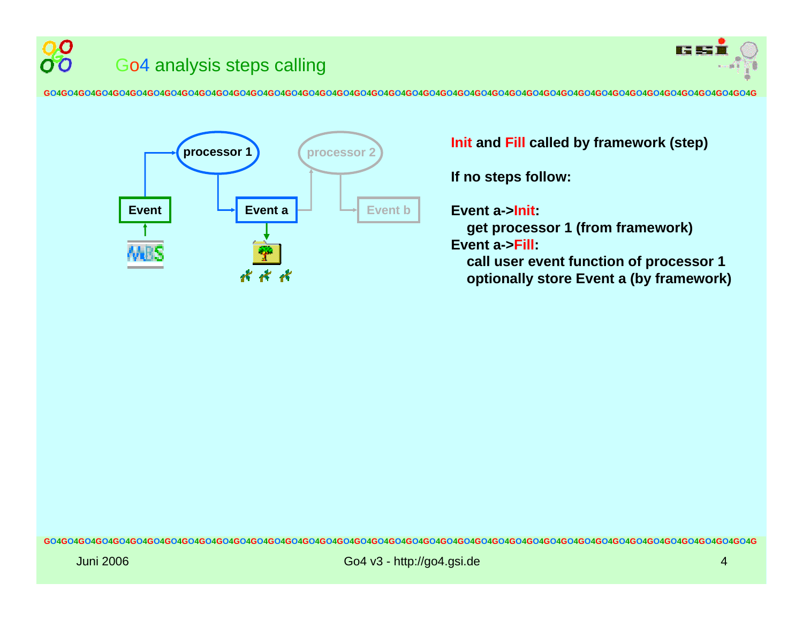



**If no steps follo w:**

**Event a->Init:** 

**get processor 1 (from frame w ork) Event a->Fill:** 

**call user event function of processor 1 optionally store Event a (by framework)**

 $\boldsymbol{\Omega}$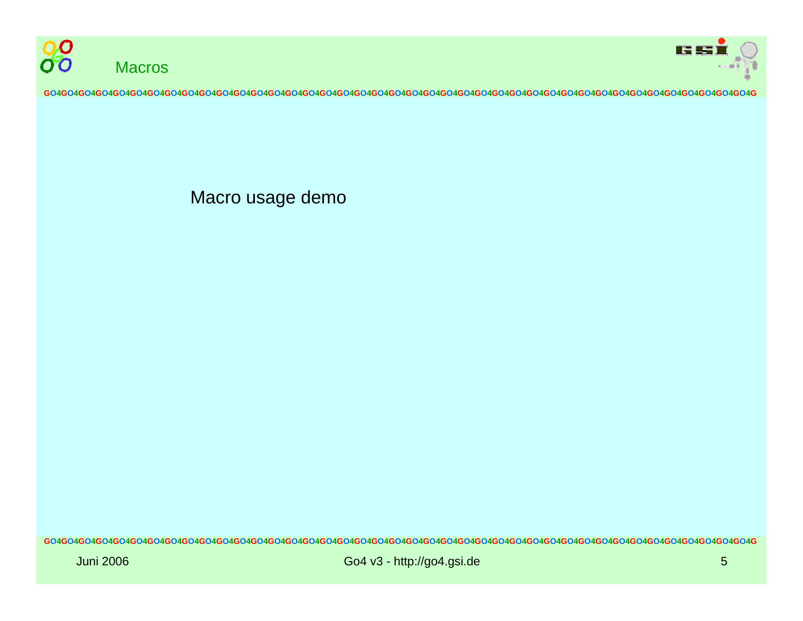



Macro usage demo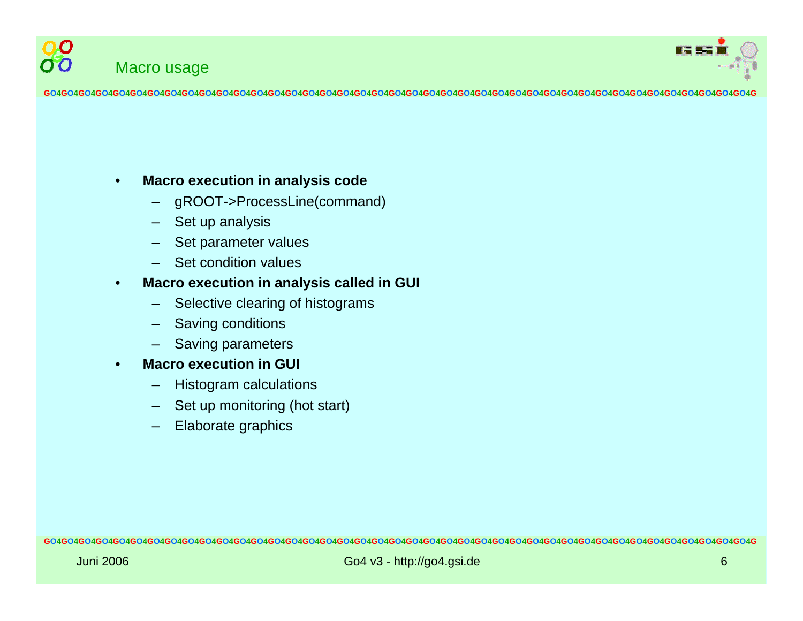



#### •**Macro execution in analy sis code**

- –gROOT->ProcessLine(command)
- –Set up analysis
- –Set parameter values
- $\equiv$ Set condition values

#### •**Macro execution in anal y sis called in GUI**

- –Selective clearing of histograms
- –Saving conditions
- –Saving parameters
- • **Macro execution in GUI**
	- –Histogram calculations
	- Set up monitoring (hot start)
	- Elaborate graphics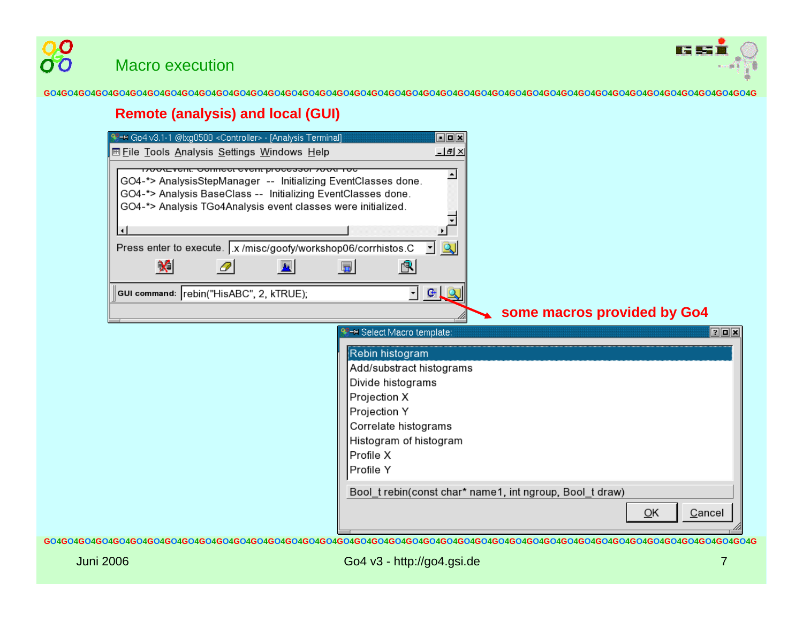

#### **Remote (analysis) and local (GUI)**

| <sup>9</sup> + Go4 v3.1-1 @lxg0500 < Controller> - [Analysis Terminal]                                                                                                                                                                                                                                                                                                                                      | oox                                                                    |
|-------------------------------------------------------------------------------------------------------------------------------------------------------------------------------------------------------------------------------------------------------------------------------------------------------------------------------------------------------------------------------------------------------------|------------------------------------------------------------------------|
| <b>■ File Tools Analysis Settings Windows Help</b>                                                                                                                                                                                                                                                                                                                                                          | <u>니라 ×</u>                                                            |
| ארגומוני סטוווופטו פונסווג מוספססטו לאטע דמפ<br>GO4-*> AnalysisStepManager -- Initializing EventClasses done.<br>GO4-*> Analysis BaseClass -- Initializing EventClasses done.<br>GO4-*> Analysis TGo4Analysis event classes were initialized.<br>$\left  \cdot \right $<br>Press enter to execute.   x /misc/goofy/workshop06/corrhistos.C<br>$\bm{\times}$<br>O<br>GUI command: rebin("HisABC", 2, kTRUE); | ∸<br>$\blacktriangleright$<br><u>- Q</u><br>量<br>$\mathbb{B}$<br>$  -$ |
|                                                                                                                                                                                                                                                                                                                                                                                                             | some macros provided by Go4                                            |
|                                                                                                                                                                                                                                                                                                                                                                                                             | <sup>98</sup> → Select Macro template:<br>$7$ D $\times$               |
|                                                                                                                                                                                                                                                                                                                                                                                                             | Rebin histogram                                                        |
|                                                                                                                                                                                                                                                                                                                                                                                                             | Add/substract histograms<br>Divide histograms                          |
|                                                                                                                                                                                                                                                                                                                                                                                                             | Projection X                                                           |
|                                                                                                                                                                                                                                                                                                                                                                                                             | Projection Y                                                           |
|                                                                                                                                                                                                                                                                                                                                                                                                             | Correlate histograms                                                   |
|                                                                                                                                                                                                                                                                                                                                                                                                             | Histogram of histogram                                                 |
|                                                                                                                                                                                                                                                                                                                                                                                                             | Profile X                                                              |
|                                                                                                                                                                                                                                                                                                                                                                                                             | Profile Y                                                              |
|                                                                                                                                                                                                                                                                                                                                                                                                             | Bool_t rebin(const char* name1, int ngroup, Bool_t draw)               |
|                                                                                                                                                                                                                                                                                                                                                                                                             | QK<br>Cancel                                                           |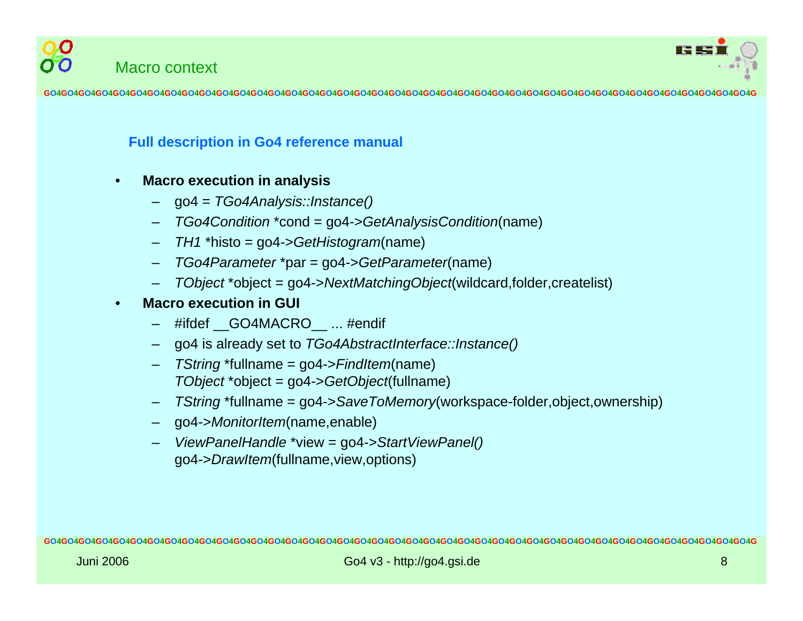



#### **Full description in Go4 reference manual**

- • **Macro execution in analy sis**
	- g o 4 = *TGo4Analysis::Instance()*
	- *TGo4Condition* \*cond = go4->*GetAnalysisCondition*(name)
	- –*TH1* \*histo = go4->*GetHistogram*(name)
	- *TGo4Parameter* \*par = go4->*GetParameter*(name)
	- *TObject* \*object = go4->*NextMatchingObject*(wildcard,folder,createlist)
- • **Macro execution in GUI**
	- #ifdef \_\_GO4MAC RO\_\_ ... #endif
	- –go4 is already set to *TGo4AbstractInterface::Instance()*
	- – *TString* \*fullname = go4->*FindItem*(name) *TObject* \*object = go4->*GetObject*(fullname)
	- *TString* \*fullname = go4->*SaveToMemory*(workspace-folder,object,ownership)
	- go4->*MonitorItem*(name,enable)
	- *ViewPanelHandle* \*view = go4->*StartViewPanel()* go4->*DrawItem*(full name,view,options)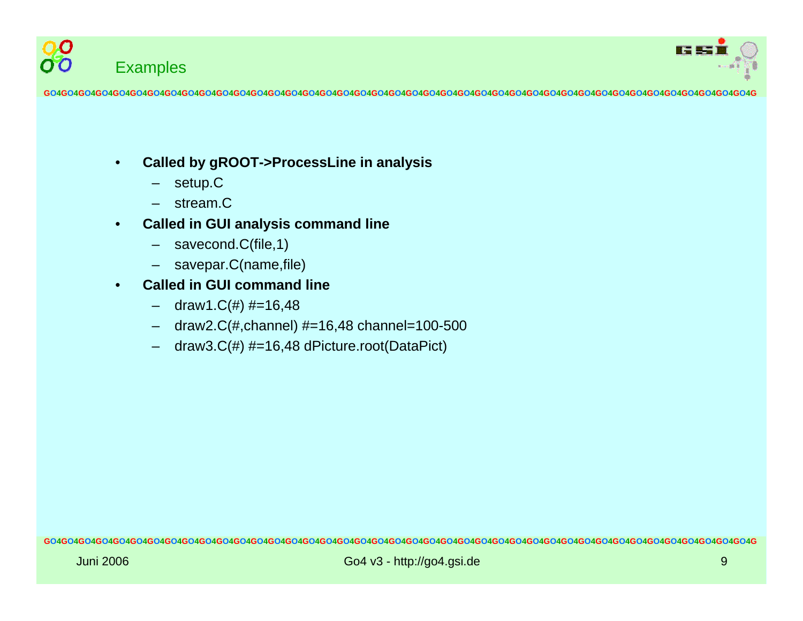



- • **Called b y gROOT->ProcessLin e in analy sis**
	- –setup.C
	- –stream.C
- • **Called in GUI analy sis command lin e**
	- –savecond.C(file,1)
	- savepar.C(name,file)
- • **Called in GUI command line**
	- draw1.C(#) #=16,48
	- draw2.C(#,channel) #=16,48 channel=100-500
	- draw3.C(#) #=16,48 dPicture.root(DataPict)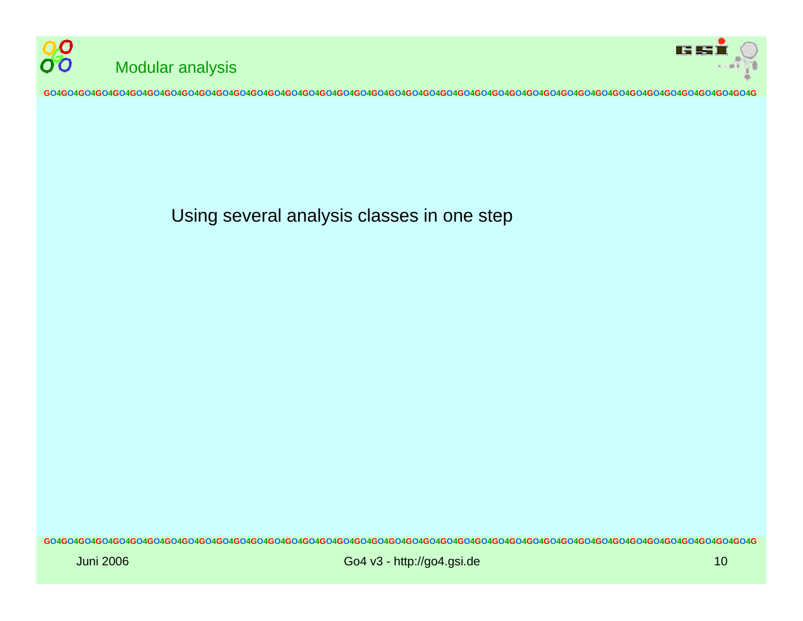



Using several analysis classes in one step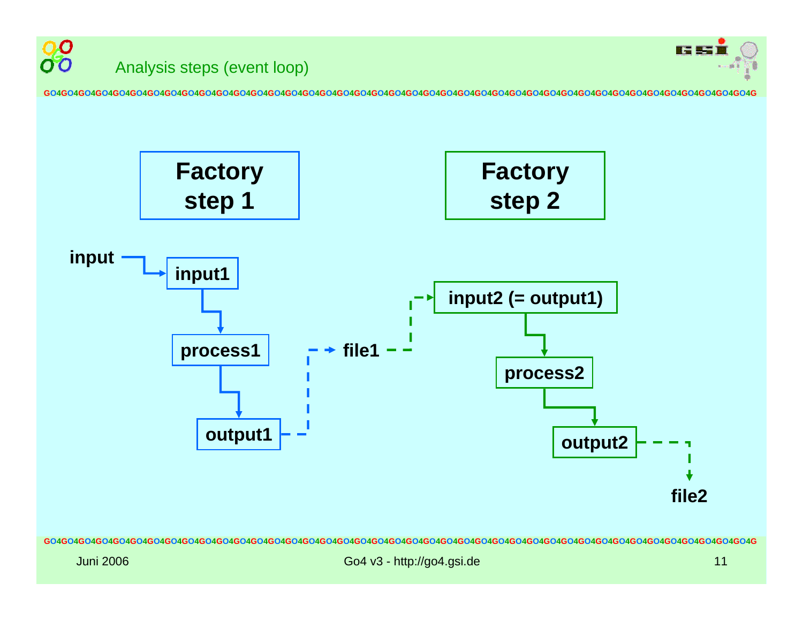

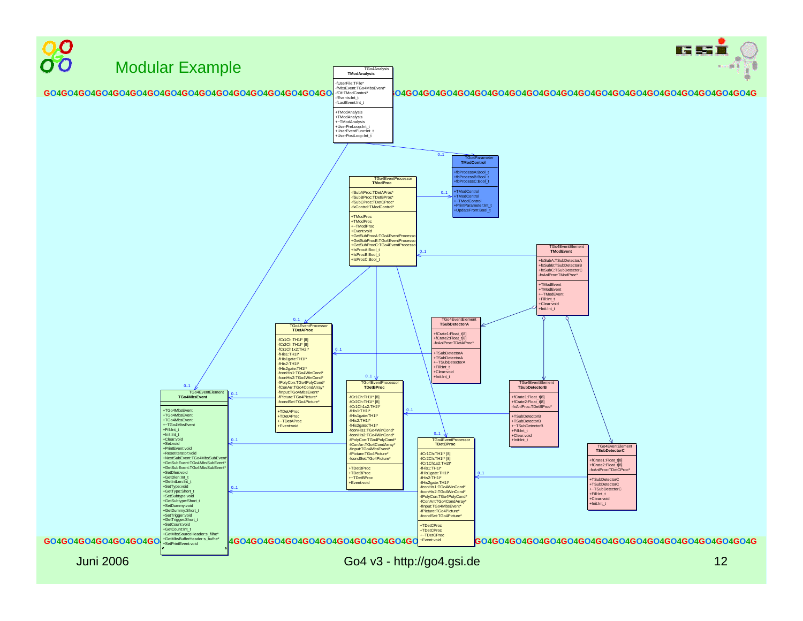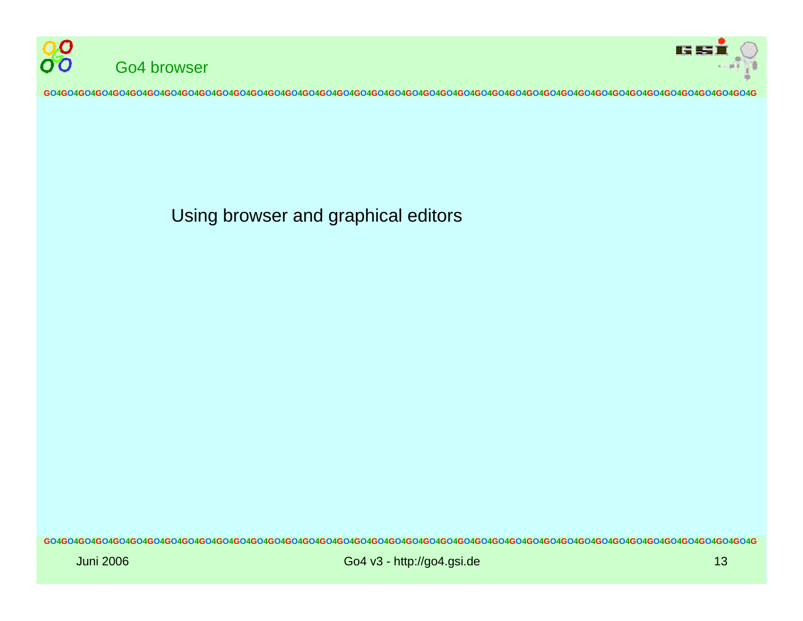



Using browser and graphical editors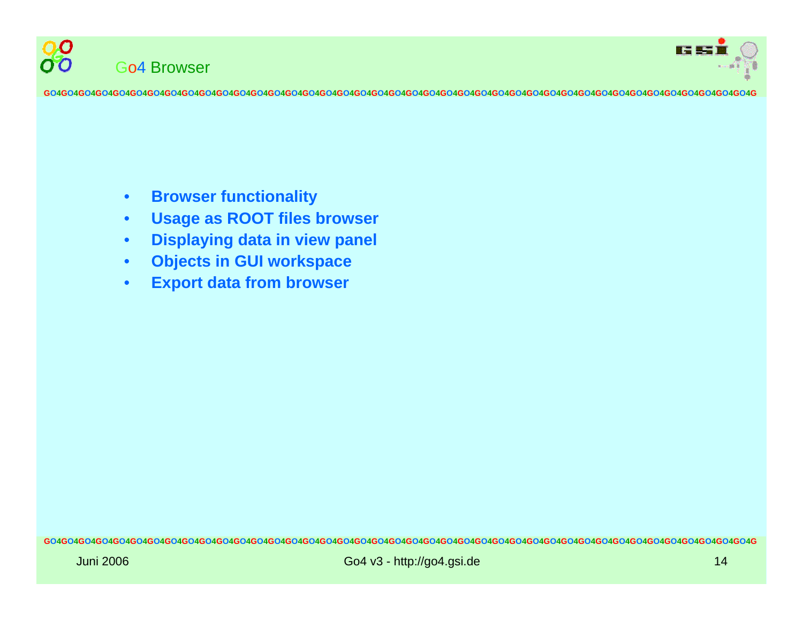



- •**Browser functionality**
- •**Usage as ROOT files browser**
- •**Displaying data in view panel**
- •**Objects in GUI workspace**
- •**Export data from browser**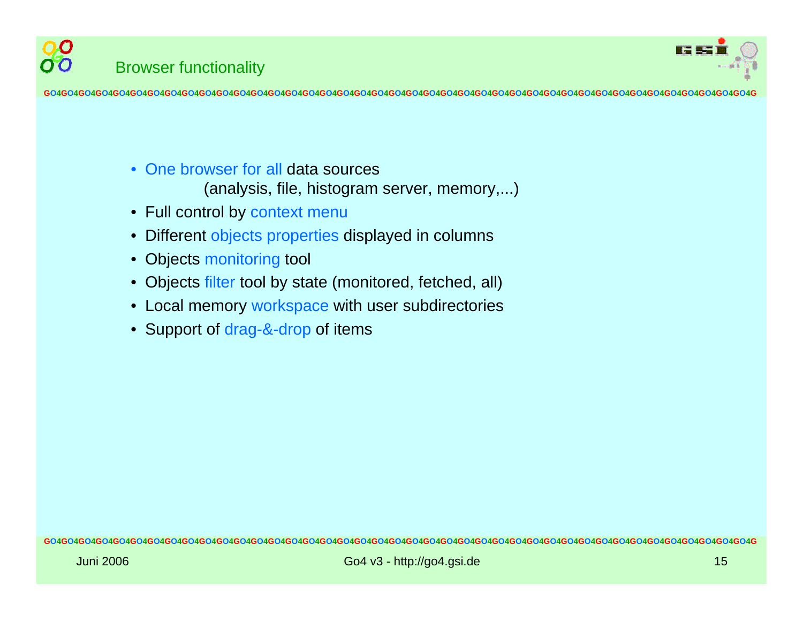

- One browser for all data sources (analysi s, file, histogram server, memory,...)
- Full control by context menu
- •Different objects properties displayed in columns
- •Objects monitoring tool
- Objects filter tool by state (monitored, fetched, all)
- Local memory workspace with user subdirectories
- Support of drag-&-drop of items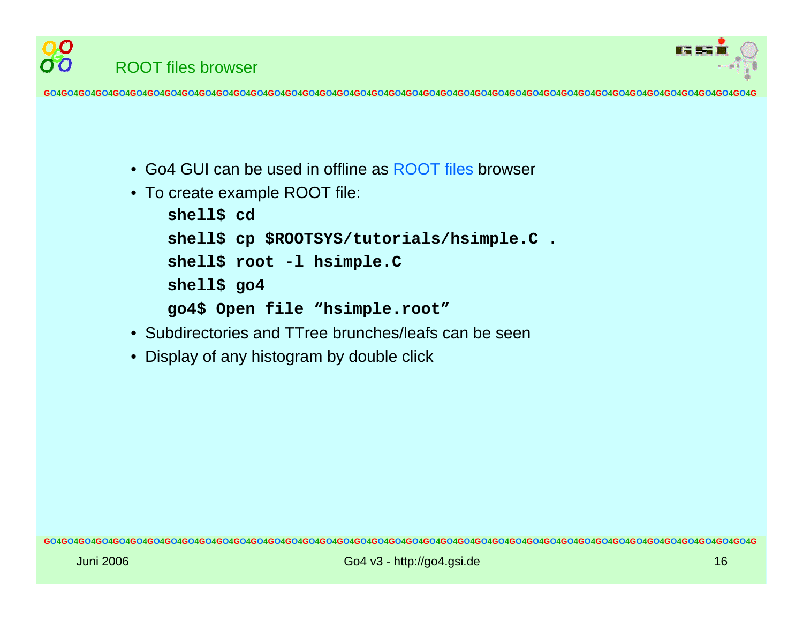

- Go4 GUI can be used in offline as ROOT files browser
- To create example ROOT file:

ROOT files browser

OO

```
shell$ cd
shell$ cp $ROOTSYS/tutorials/hsimple.C .
shell$ root -l hsimple.C
shell$ go4
go4$ Open file "hsimple.root"
```
- •Subdirectories and TTree brunches/leafs can be seen
- $\bullet$ Display of any histogram by double click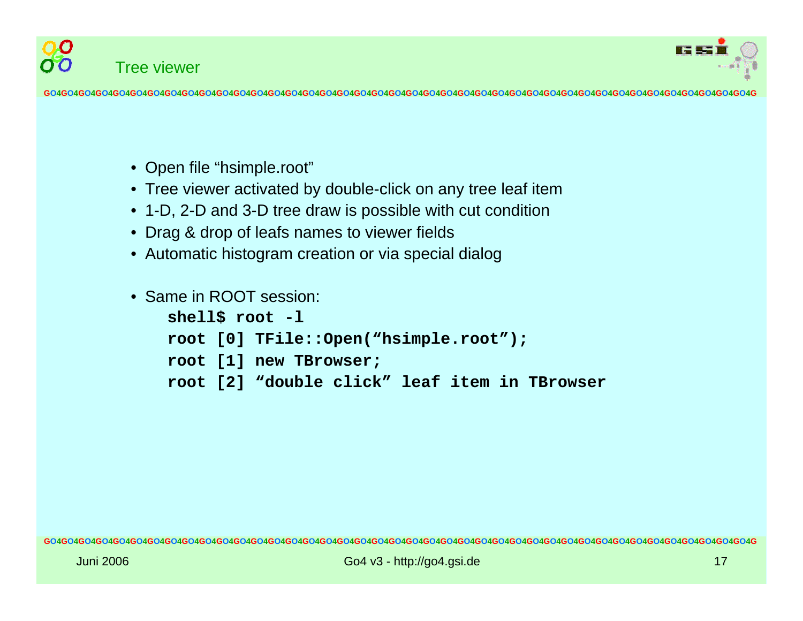



- Open file "hsimple.root"
- Tree viewer activated by double-click on any tree leaf item
- 1-D, 2-D and 3-D tree draw is possible with cut condition
- Drag & drop of leafs names to viewer fields
- Automatic histogram creation or via special dialog
- Same in ROOT session: **shell\$ root -l**

```
root [0] TFile::Open("hsimple.root");
```

```
root [1] new TBrowser;
```

```
root [2] "double click" leaf item in TBrowser
```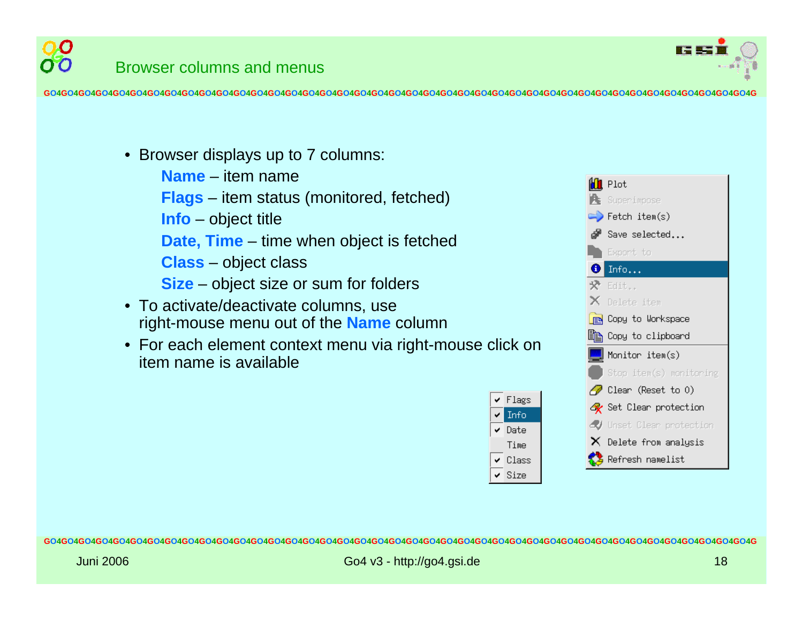

- Browser displays up to 7 columns:
	- **Name** ite m name
	- **Flags** item status ( monitored, fetched)
	- **Info** object title
	- **Date, Time** time when object is fetched
	- **Class** object class
	- **Size** object size or sum for folders
- To activate/deactivate columns, use right-mouse menu out of the **Name** column
- For each element context menu via right-mouse click on item name is available



**GO4GO4GO4GO4GO4GO4GO4GO4GO4GO4GO4GO4GO4GO4GO4GO4GO4GO4GO4GO4GO4GO4GO4GO4GO4GO4GO4GO4GO4GO4GO4GO4GO4GO4GO4GO4GO4GO4GO4GO4GO4G**

✔ Flags

 $\textrm{\LARGE$\bullet$}$  Date

Info

Time

 $\vee$  Class  $\vee$  Size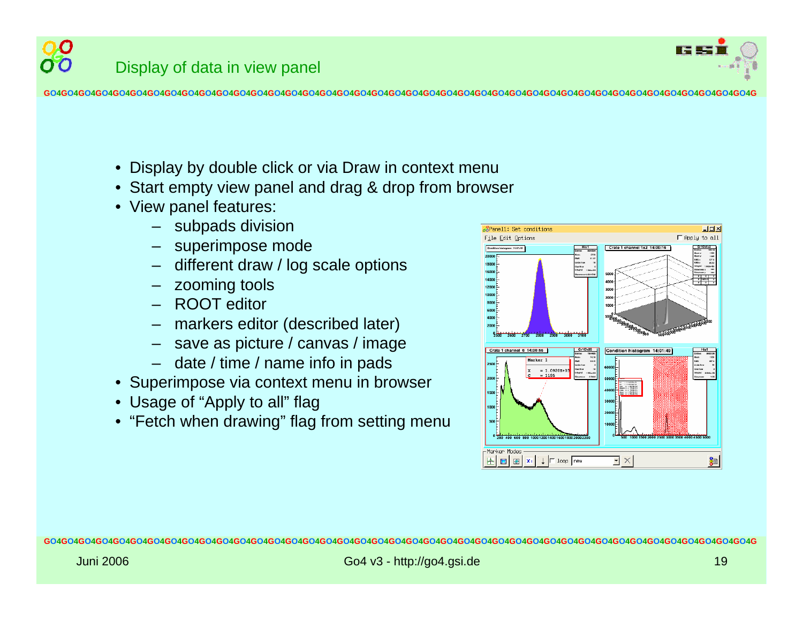

Display of data in view panel

**GO4GO4GO4GO4GO4GO4GO4GO4GO4GO4GO4GO4GO4GO4GO4GO4GO4GO4GO4GO4GO4GO4GO4GO4GO4GO4GO4GO4GO4GO4GO4GO4GO4GO4GO4GO4GO4GO4GO4GO4GO4G**

- Display by double click or via Draw in context menu
- Start empty view panel and drag & drop from browser
- View panel features:
	- subpads division
	- –superimpose mode
	- different draw / log scale options
	- zooming tools
	- ROOT editor
	- –markers editor (described later)
	- save as picture / canvas / image
	- date / time / name info in pads
- Superimpose via context menu in browser
- Usage of "Apply to all" flag
- "Fetch when drawing" flag from s etting menu

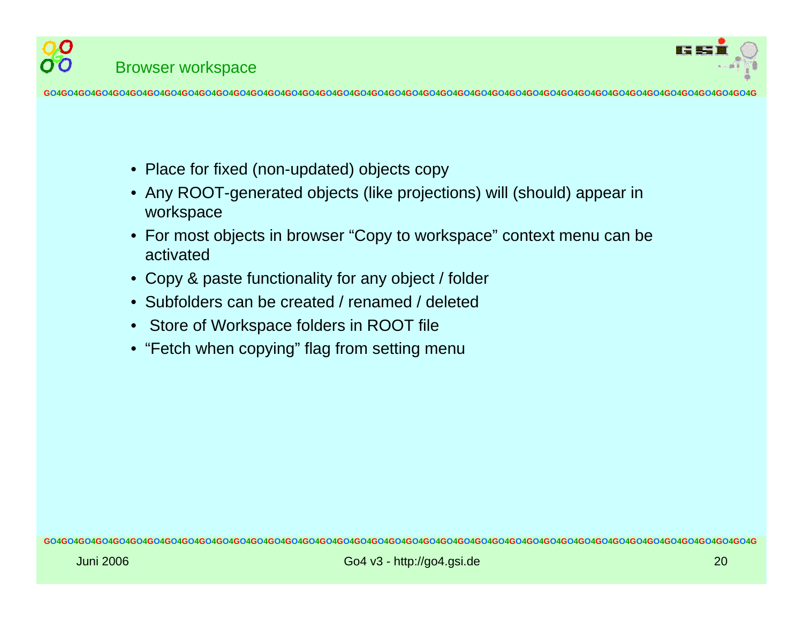

O O

- Place for fixed (non-updated) objects copy
- Any ROOT-generated objects (like projections) will (should) appear in workspa c e
- For most objects in browser "Copy to workspace" context menu can be activated
- Copy & paste functionality for any object / folder
- •Subfolders can be created / renamed / deleted
- •Store of Workspace folders in ROOT file
- "Fetch when copying" flag from s etting menu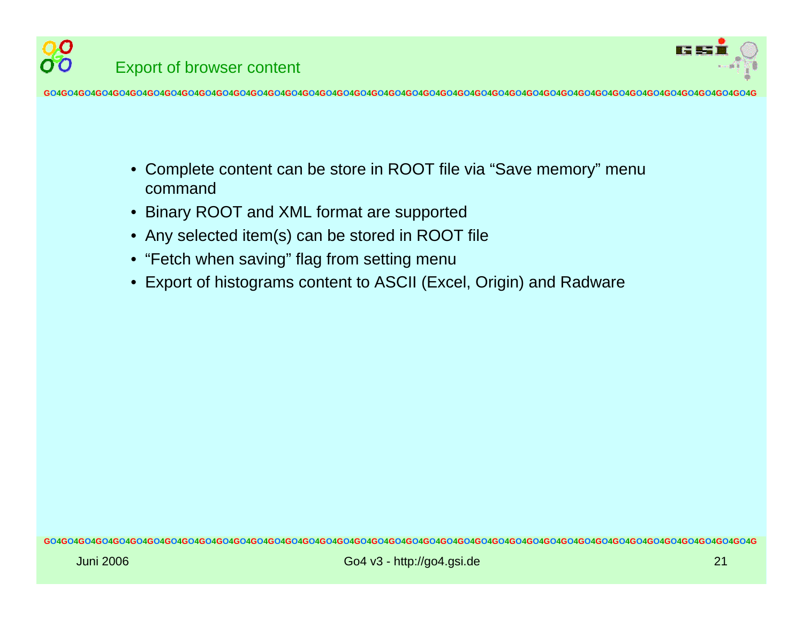

Export of browser content

O O

- •Complete content can be store in ROOT file via "Save memory" menu command
- •Binary ROOT and XML format are supported
- $\bullet$ A n y selected item(s) can be stored in ROOT file
- "Fetch when saving" flag from setting menu
- Export of histograms content to ASCII (Excel, Origin) and Radware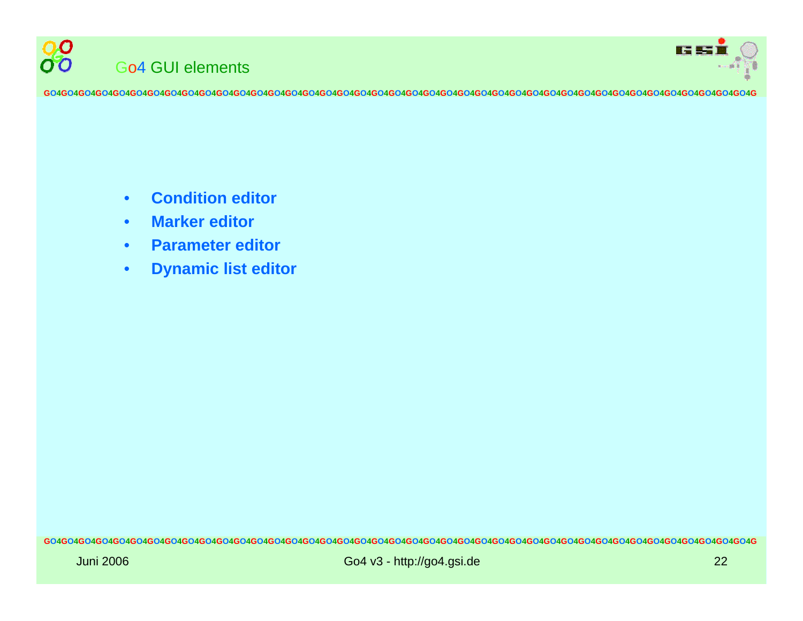



- •**Condition editor**
- •**Marker editor**
- •**Parameter editor**
- •**Dynamic list editor**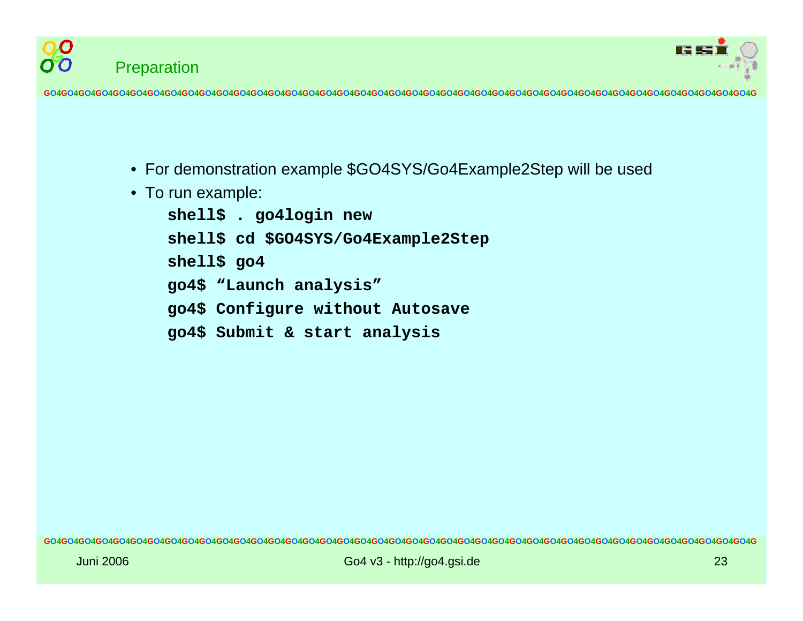



- For demonstration example \$GO4SYS/Go4Example2Step will be used
- To run example:

```
shell$ . go4login new
shell$ cd $GO4SYS/Go4Example2Step
shell$ go4
go4$ "Launch analysis"
go4$ Configure without Autosave
go4$ Submit & start analysis
```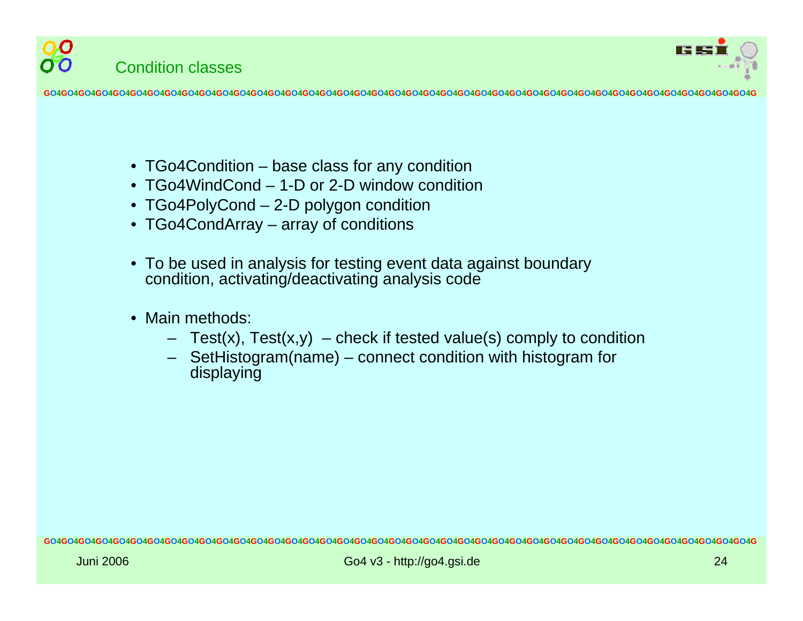



- TGo4Condition base class for any condition
- •TGo4WindCond– 1-D or 2-D window condition
- TGo4PolyCond 2-D polygon condition
- TGo4CondArray array of conditions
- To be used in analysis for testing event data against boundary condition, activating/deactivating analysis code
- •Main methods:
	- Test(x), Test(x,y) check if tested value(s) comply to condition
	- SetHistogram(name) connect condition with histogram for displaying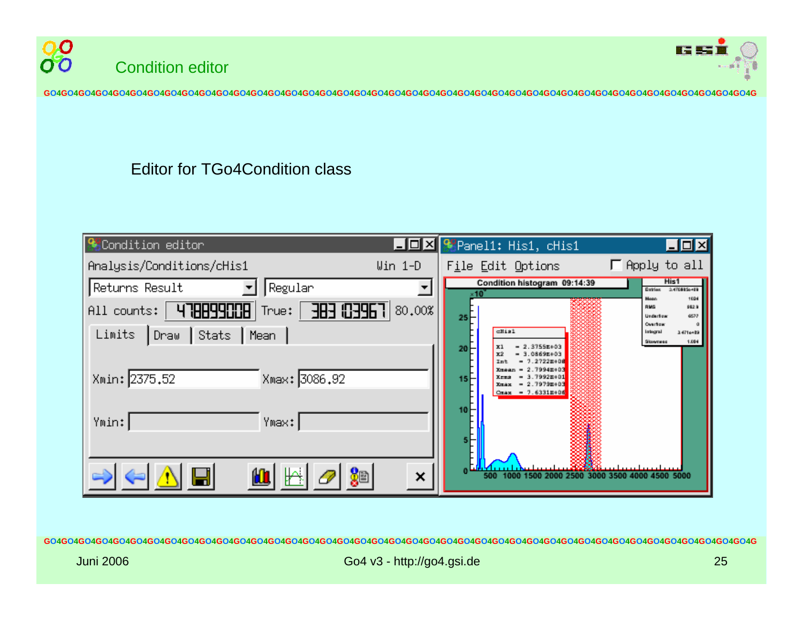



#### Editor for TGo4Condition class

| <b>SECondition</b> editor                              | ■回図 <sup>99</sup> Pane11: His1, cHis1<br>그미지                                                                                             |
|--------------------------------------------------------|------------------------------------------------------------------------------------------------------------------------------------------|
| Analysis/Conditions/cHis1<br>$\text{Uin } 1\text{-D}$  | Apply to all<br>File Edit Options                                                                                                        |
| Returns Result<br>Regular                              | His1<br>Condition histogram 09:14:39<br><b>Gatries</b><br>2.4708856+09                                                                   |
| 7393020<br>478899008<br>80,00%<br>True:<br>All counts: | 1084<br><b>Noar</b><br>982.9<br>RMS<br>6577<br>Underflow<br>25                                                                           |
| $ $ Stats<br>Limits<br>│Draw<br>Mean                   | Overflow<br>ell11121<br>integral<br>1471e+89<br>1.094<br>Skowness                                                                        |
| Xmax: 3086.92<br>Xmin: 2375.52                         | 2.3755E+03<br>$x_1$<br>E0+30880.E<br>$-2.2722m + 0.8$<br>2.7994m+03<br>3.7992m+01<br>2.79798+03<br>$\blacksquare$<br>$Cmax = 7.6331m*06$ |
| Ymin:<br>Ymax:                                         |                                                                                                                                          |
| ×                                                      |                                                                                                                                          |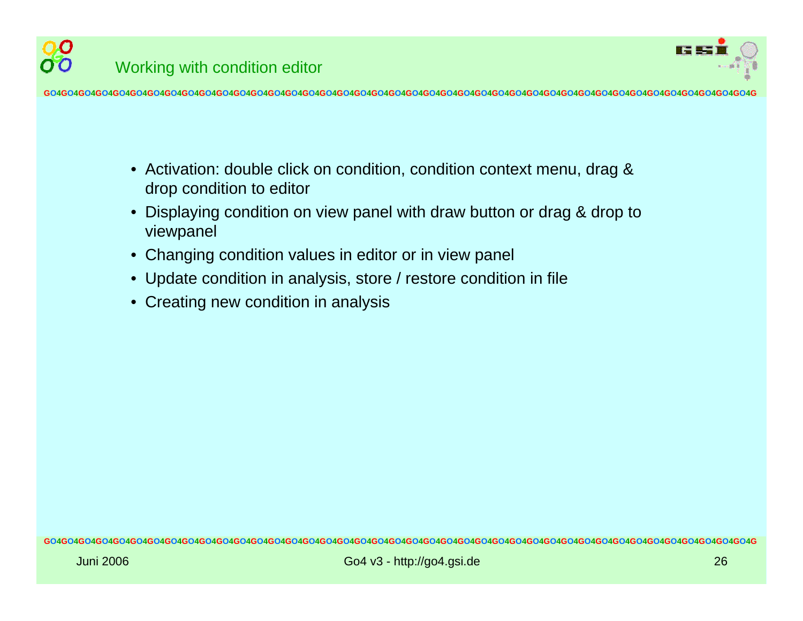

Working with condition editor

**GO4GO4GO4GO4GO4GO4GO4GO4GO4GO4GO4GO4GO4GO4GO4GO4GO4GO4GO4GO4GO4GO4GO4GO4GO4GO4GO4GO4GO4GO4GO4GO4GO4GO4GO4GO4GO4GO4GO4GO4GO4G**

- Activation: double click on condition, condition context menu, drag & drop condition to editor
- Displaying condition on view panel with draw button or drag & drop to viewpanel
- Changing condition values in editor or in view panel
- Update condition in analysis, store / restore condition in file
- $\bullet$ Creating new condition in analysis

O.O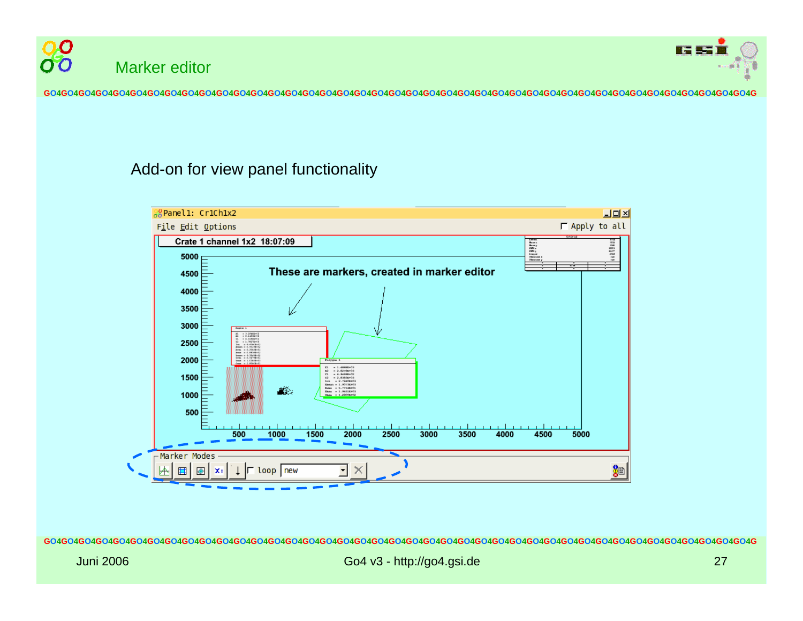



#### Add-on for view panel functionality

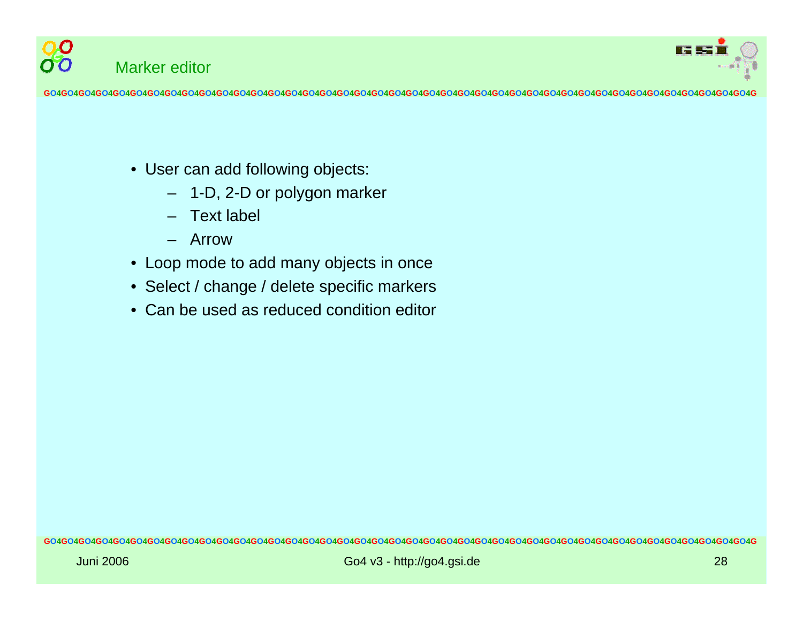

- User can add following objects:
	- 1-D, 2-D or polygon marker
	- Text label
	- –Arrow

Marker editor

00

- Loop mode to add many objects in once
- Select / change / delete specific markers
- •Can be used as reduced condition editor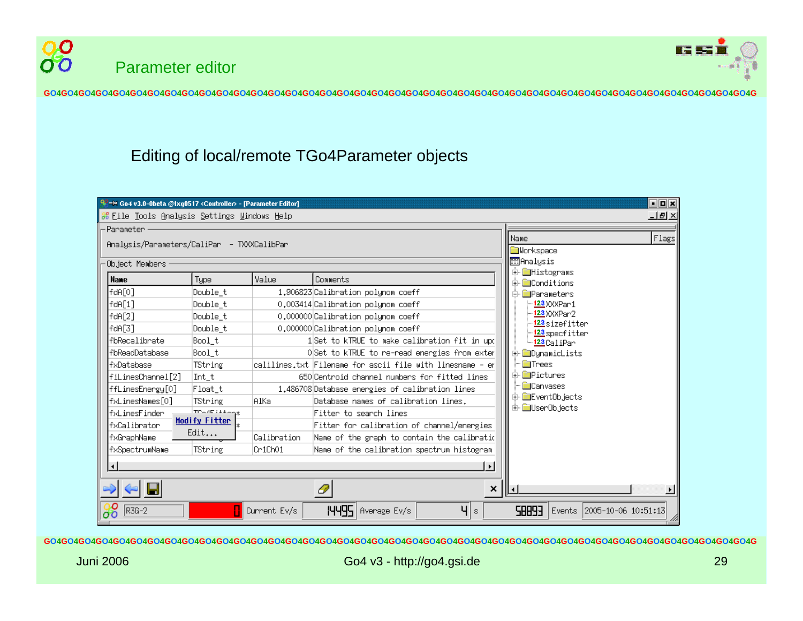



## Editing of local/remote TGo4Parameter objects

|                                            | Get == Go4 v3.0-0beta @Ixq0517 <controller> - [Parameter Editor]</controller> |                      |              |                                                           | $\Box$ o $\bm{x}$                                              |  |  |
|--------------------------------------------|-------------------------------------------------------------------------------|----------------------|--------------|-----------------------------------------------------------|----------------------------------------------------------------|--|--|
|                                            | -TTI 지<br>88 File Tools Analysis Settings Windows Help                        |                      |              |                                                           |                                                                |  |  |
|                                            | Parameter                                                                     |                      |              |                                                           |                                                                |  |  |
| Analysis/Parameters/CaliPar - TXXXCalibPar |                                                                               |                      |              |                                                           | Flags<br>Name<br><b>M</b> Uorkspace                            |  |  |
| ∙Object Members                            |                                                                               |                      |              |                                                           | ि⊞िAnalysis                                                    |  |  |
|                                            | <b>Name</b>                                                                   | <b>Type</b>          | Value        | Comments                                                  | ⊞் ⊟Histograms<br><b>⊡ Conditions</b>                          |  |  |
|                                            | fdA[0]                                                                        | Double t             |              | 1.906823 Calibration polynom coeff                        | <b>■P</b> arameters                                            |  |  |
|                                            | fdA[1]                                                                        | Double t             |              | 0.003414 Calibration polynom coeff                        | -- <mark>123</mark> XXXPar 1                                   |  |  |
|                                            | fdA[2]                                                                        | Double t             |              | 0.000000 Calibration polynom coeff                        | -- <mark>123</mark> XXXPar 2                                   |  |  |
|                                            | fdA[3]                                                                        | Double t             |              | 0.000000 Calibration polynom coeff                        | - <mark>123</mark> sizefitter<br>- <mark>123</mark> specfitter |  |  |
|                                            | fbRecalibrate                                                                 | Bool t               |              | 1Set to kTRUE to make calibration fit in upd              | <del>' <mark>123</mark> C</del> aliPar                         |  |  |
|                                            | fbReadDatabase                                                                | Bool t               |              | OSet to kTRUE to re-read energies from exter              | <b>DynamicLists</b>                                            |  |  |
|                                            | lfxDatabase                                                                   | TString              |              | calilines.txt Filename for ascii file with linesname - en | <b>E</b> Trees                                                 |  |  |
|                                            | fiLinesChannel[2]                                                             | Int t                |              | 650 Centroid channel numbers for fitted lines             | ⊡ <b>i</b> Pictures                                            |  |  |
|                                            | ffLinesEnergy[0]                                                              | Float t              |              | 1.486708 Database energies of calibration lines           | <b>Canvases</b>                                                |  |  |
|                                            | fxLinesNames[O]                                                               | TString              | AlKa         | Database names of calibration lines.                      | 由 EventOb.jects                                                |  |  |
|                                            | ∣fxLinesFinder                                                                | TP-AF1++-px          |              | Fitter to search lines                                    | E- UserOb.jects                                                |  |  |
|                                            | fxCalibrator                                                                  | <b>Modify Fitter</b> |              | Fitter for calibration of channel/energies                |                                                                |  |  |
|                                            | fxGraphName                                                                   | Edit                 | Calibration  | Name of the graph to contain the calibratid               |                                                                |  |  |
|                                            | fxSpectrumName                                                                | TString              | Cr1Ch01      | Name of the calibration spectrum histogram                |                                                                |  |  |
|                                            | мI                                                                            |                      |              | $\blacktriangleright$                                     |                                                                |  |  |
|                                            | H                                                                             |                      |              | ×                                                         |                                                                |  |  |
|                                            | ခြိတ်<br>R3G-2                                                                |                      | Current Ev/s | <b>I-HI-S</b> Average Ev/s<br>Ч<br>ls.                    | <b>EPBB2</b><br>Events 2005-10-06 10:51:13                     |  |  |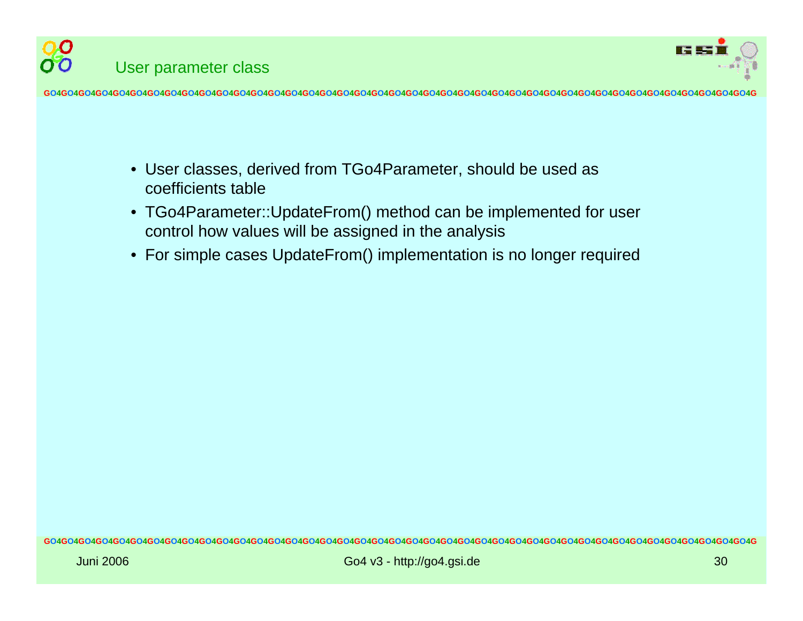

- User classes, derived from TGo4Parameter, should be used as coefficients table
- TGo4Parameter::UpdateFrom() method can be implemented for user control how values will be assigned in the analysis
- For simple cases UpdateFrom() implementation is no longer required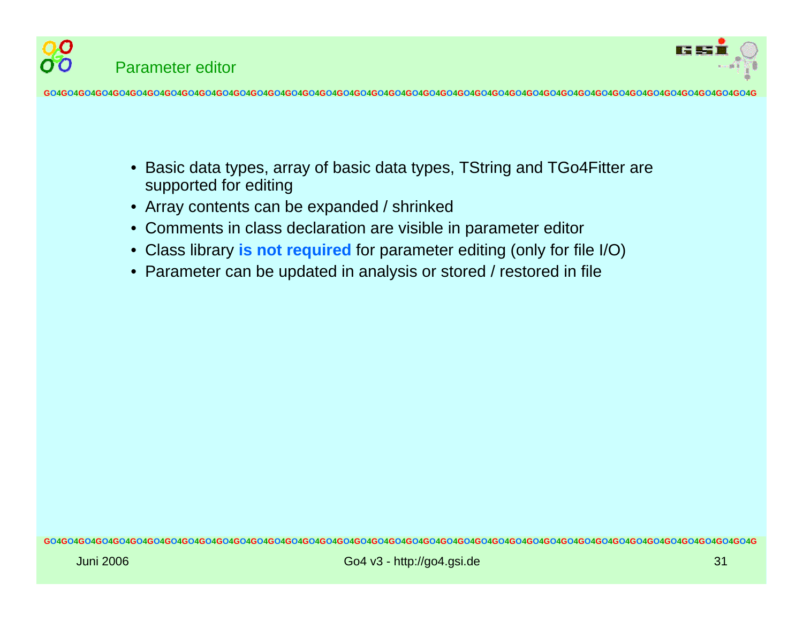

- •Basic data types, array of basic data types, TString and TGo4Fitter are supported for editing
- Array contents can be expanded / shrinked
- Comments in class declaration are visible in parameter editor
- •Class library **is not required** for parameter editing (only for file I/O)
- •Parameter can be updated in analysis or stored / restored in file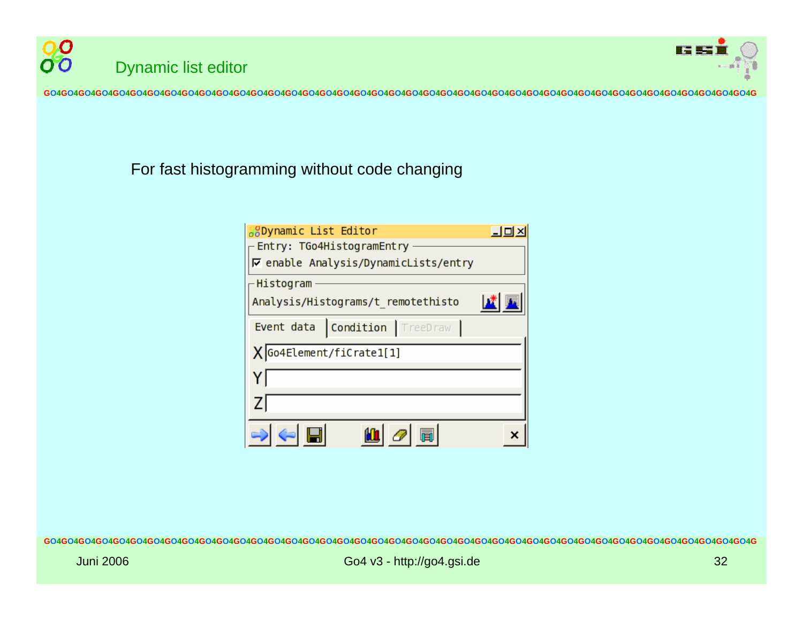



### For fast histogramming without code changing

| <b>SODynamic List Editor</b>                | $\Box$ |  |  |  |
|---------------------------------------------|--------|--|--|--|
| - Entry: TGo4HistogramEntry                 |        |  |  |  |
| <b>▽ enable Analysis/DynamicLists/entry</b> |        |  |  |  |
| -Histogram                                  |        |  |  |  |
| Analysis/Histograms/t remotethisto          |        |  |  |  |
| <b>Condition TreeDraw</b><br>Event data     |        |  |  |  |
| X Go4Element/fiCrate1[1]                    |        |  |  |  |
|                                             |        |  |  |  |
| Z                                           |        |  |  |  |
|                                             |        |  |  |  |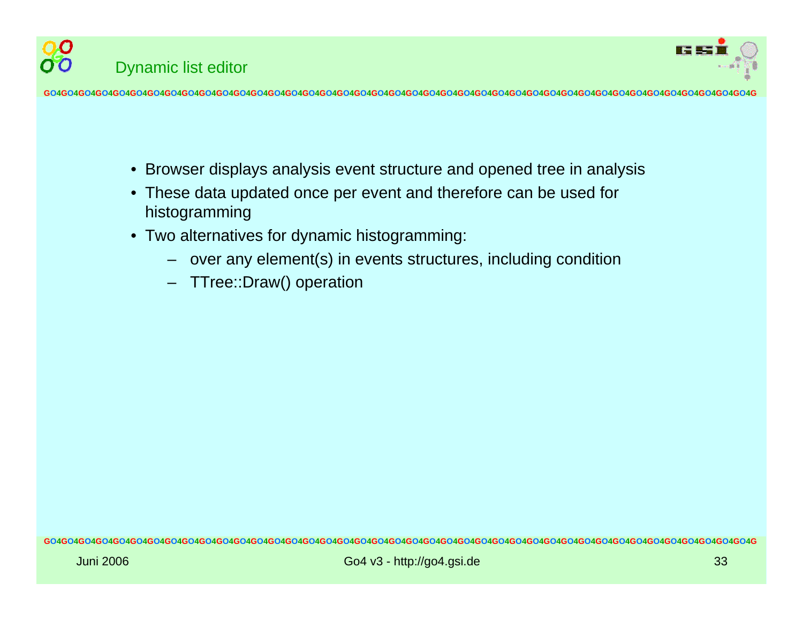



- Browser displays analysis event structure and opened tree in analysis
- These data updated once per event and therefore can be used for histogramming
- Two alternatives for dynamic histogramming:
	- over any element(s) in events structures, including condition
	- TTree::Draw() operation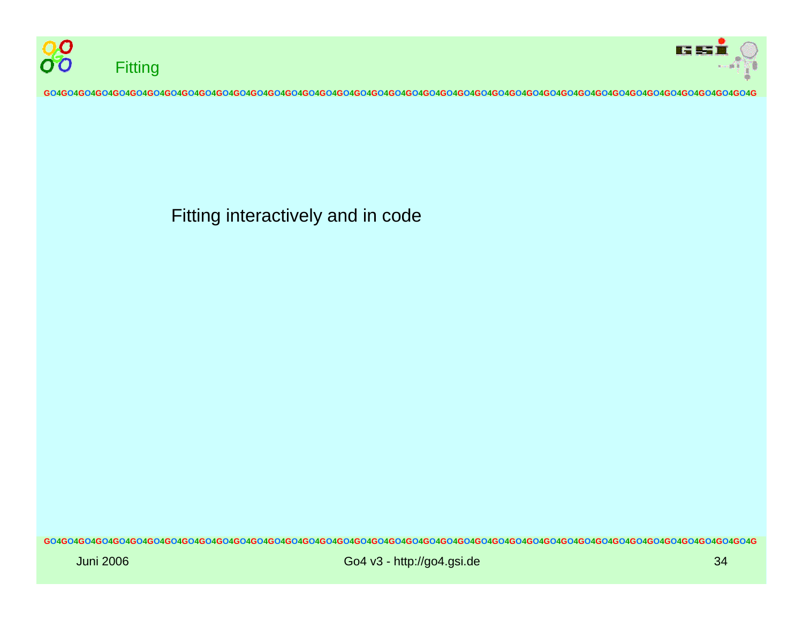



Fitting interactively and in code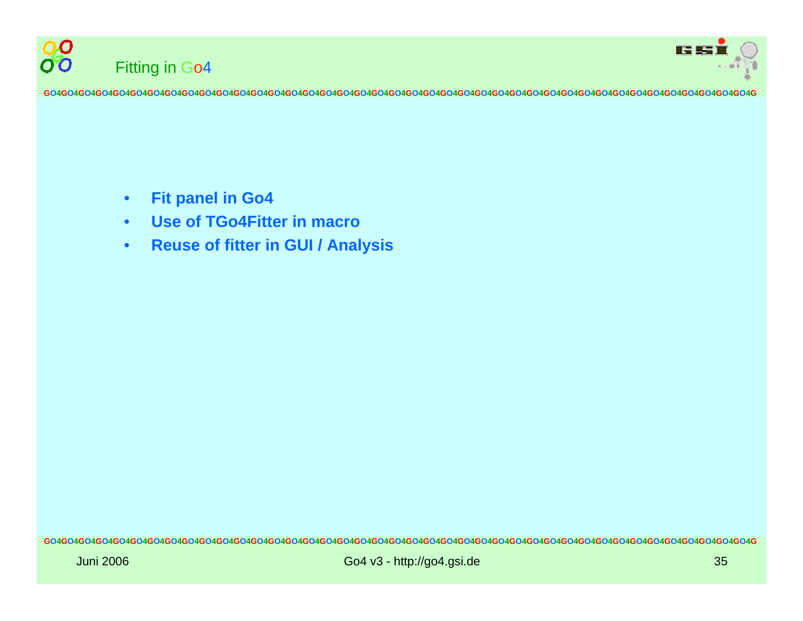



- •**Fit panel in Go4**
- •**Use of TGo4Fitter in macro**
- •**• Reuse of fitter in GUI / Analysis**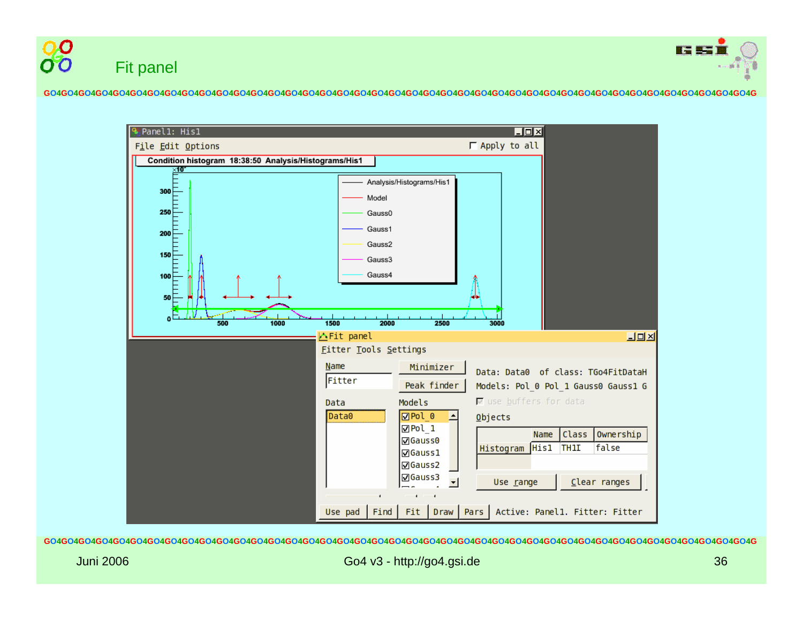



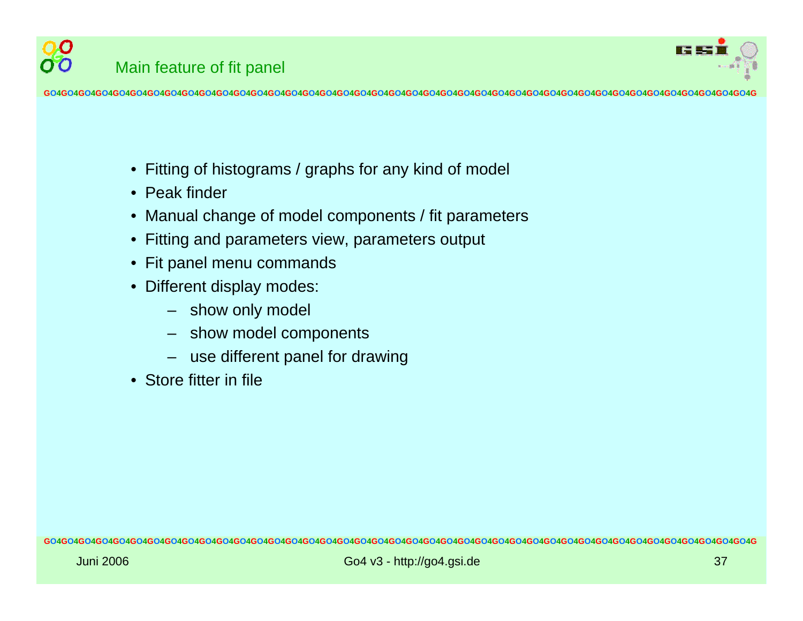

0.O

- Fitting of histograms / graphs for any kind of model
- Peak finder
- $\bullet$ Manual change of model components / fit parameters
- $\bullet$ Fitting and parameters view, parameters output
- Fit panel menu commands
- Different display modes:
	- show only model
	- show model components
	- use different panel for drawing
- •Store fitter in file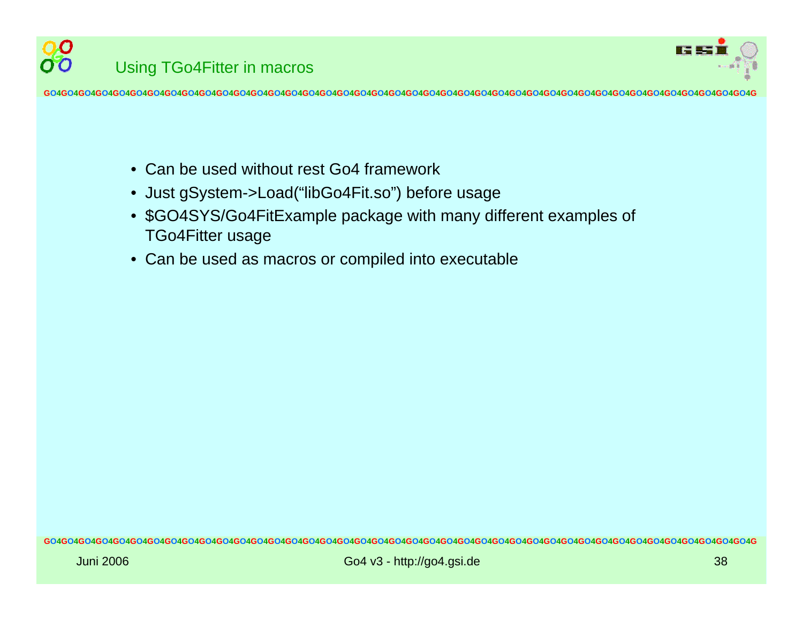

O O Using TGo4Fitter in macros

- •Can be used without rest Go4 framework
- $\bullet$ Just gSystem->Load("libGo4Fit.so") befor e usage
- \$GO4SYS/Go4FitExample package with many different examples of TGo4Fitter usage
- Can be used as macros or compiled into executable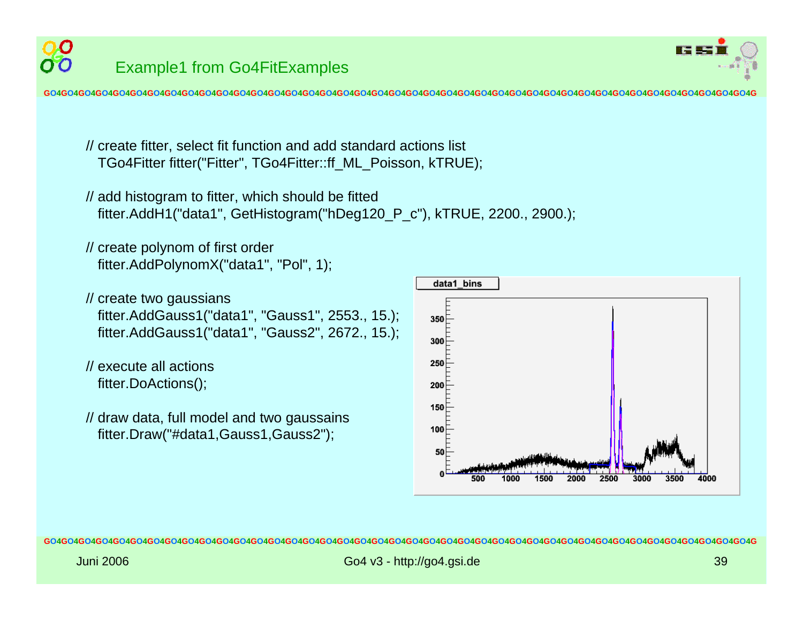



// create fitter, select fit function and add standard actions list TGo4Fitter fitter("Fitter", T Go4Fitter::ff\_ML\_Poisson, kTRUE);

```
// add histogram to fitter, which should be fitted
 fitter.AddH1("data1", GetHistogram("hDeg120_P_c"), kTRUE, 2200., 2900.);
```

```
// create polynom
of first order
 fitter.AddPolynomX("data1", "Pol", 1);
```

```
// create two gaussians
 fitter.AddGauss1("data1", "Gauss1", 2553., 15.);
 fitter.AddGauss1("data1", "Gauss2", 2672., 15.);
```

```
// execute all actionsfitter.DoActions();
```
// draw data, full model and two gaussains fitter.Draw("#data1,Gauss1,Gauss2");

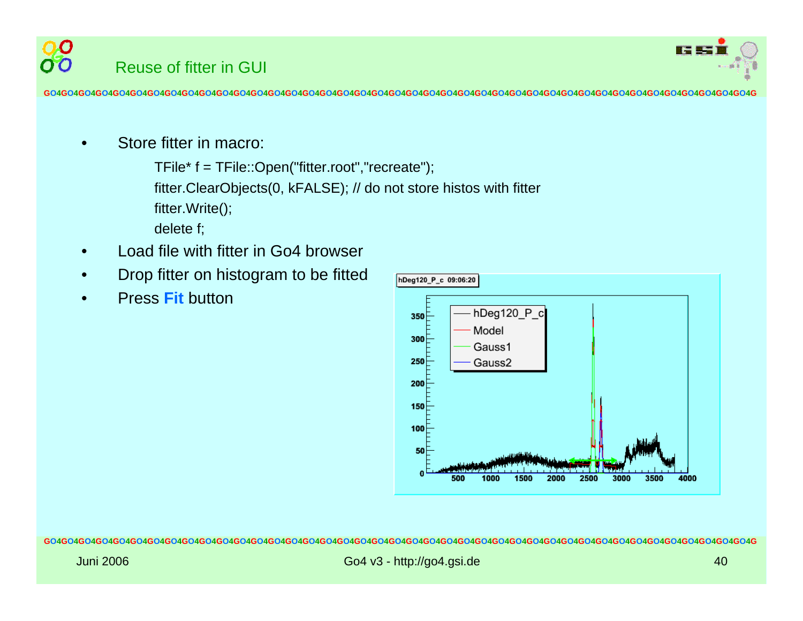

•Store fitter in macro:

> TFile\* f = TFile::Open("fitter.root","recreate"); fitter.ClearObjects(0, kFALSE); // do not store histos with fitter fitter.Write(); delete f;

- •Load file with fitter in Go4 browser
- •Drop fitter on histogram to be fitted
- •Press **Fit** button

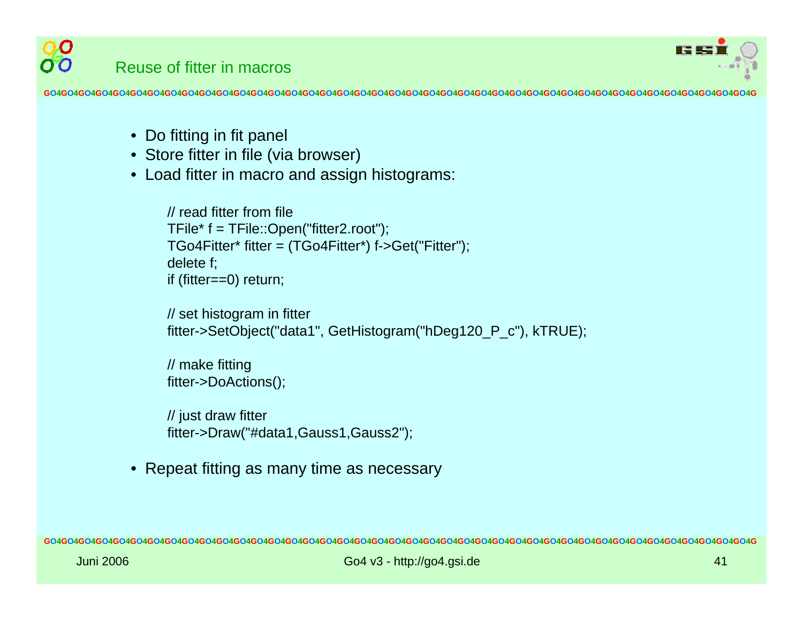

- Do fitting in fit panel
- Store fitter in file (via browser)
- Load fitter in macro and assign histograms:

```
// read fitter from file TFile* f = TFile::Open("fitter2.root");
TGo4Fitter* fitter = (TGo4Fitter*) f->Get("Fitter");
delete f;
if (fitter=
=0) return;
```

```
// set histogram in fitter
fitter->SetObject("data1", GetHistogram("hDeg120_P_c"), kTRUE);
```

```
// m
ake fitting
fitter->DoActions();
```

```
// just draw fitter
fitter->Draw("#data1,Gauss1,Gauss2");
```
•Repeat fitting as many time as necessary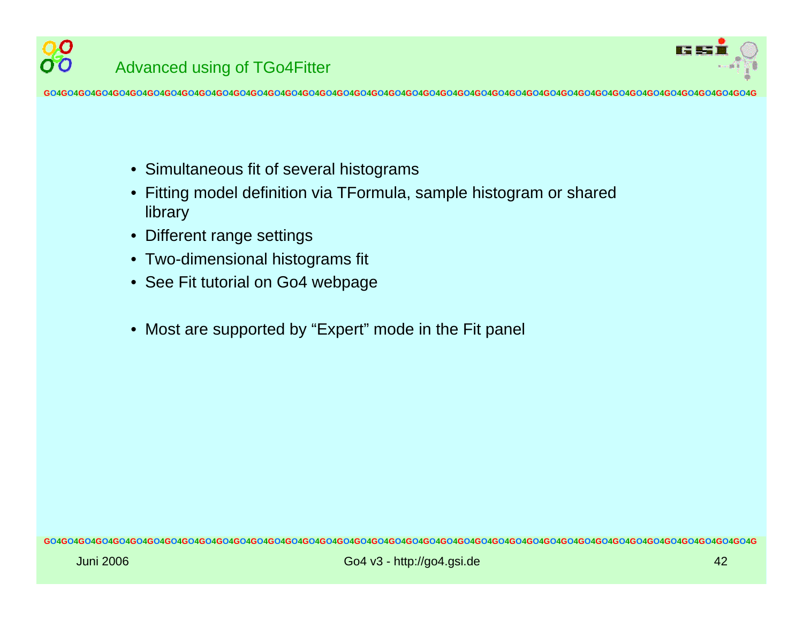

- Simultaneous fit of several histograms
- •Fitting model definition via TFormula, sample histogram or shared library
- •Different range s ettings
- Two-dimensional histograms fit
- See Fit tutorial on Go4 webpage
- Most are supported by " Expert" mode in the Fit panel

00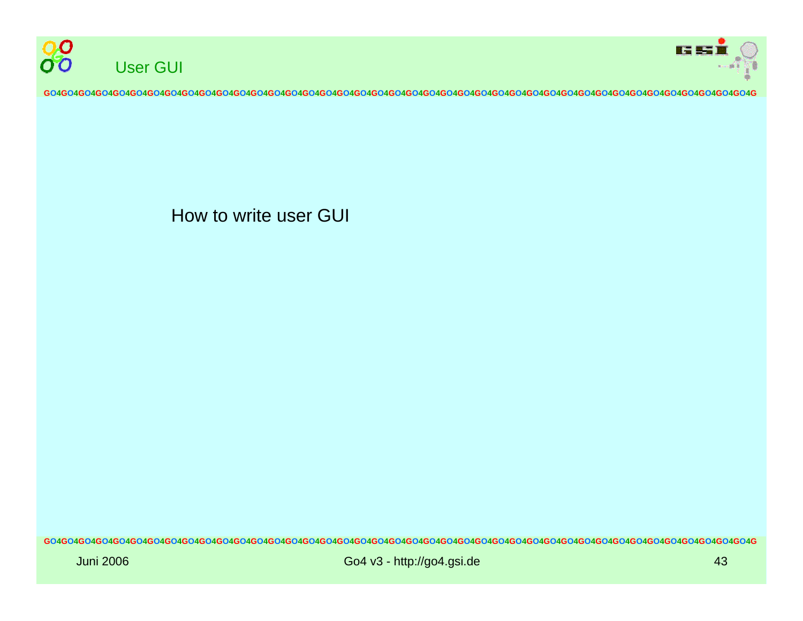



How to write user GUI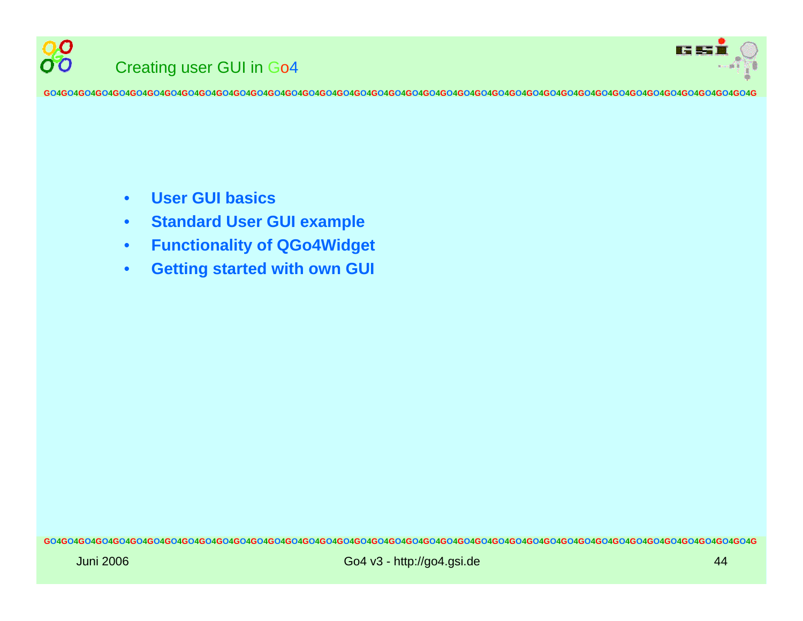

88

**GO4GO4GO4GO4GO4GO4GO4GO4GO4GO4GO4GO4GO4GO4GO4GO4GO4GO4GO4GO4GO4GO4GO4GO4GO4GO4GO4GO4GO4GO4GO4GO4GO4GO4GO4GO4GO4GO4GO4GO4GO4G**

- •**User GUI basics**
- •**Standard User GUI example**
- $\bullet$ **Functionality of QGo4Widget**
- •**Getting started with own GUI**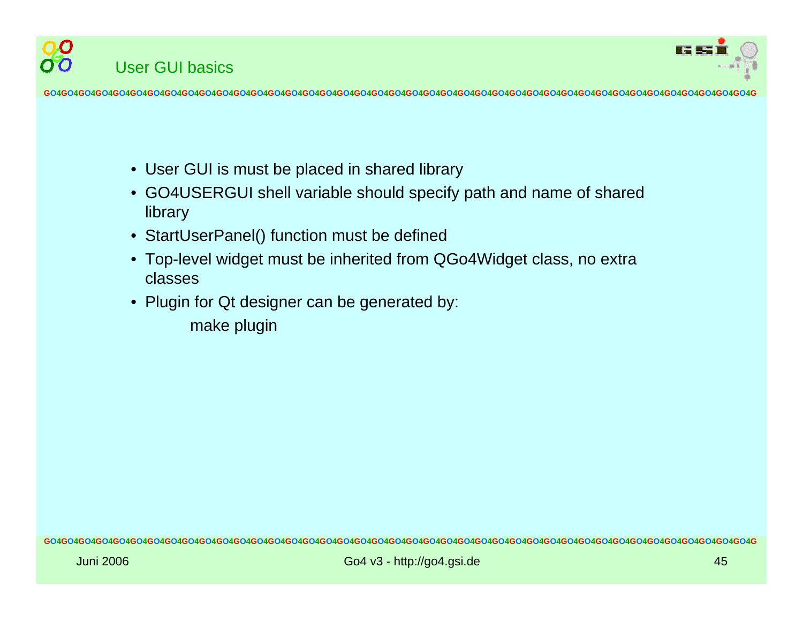



- User GUI is must be placed in shared library
- • GO4USERGUI shell variable should specify path and name of shared library
- StartUserPanel() function must be defined
- Top-level widget must be inherited from QGo4Widget class, no extra classes
- Plugin for Qt designer can be generated by:
	- make plugin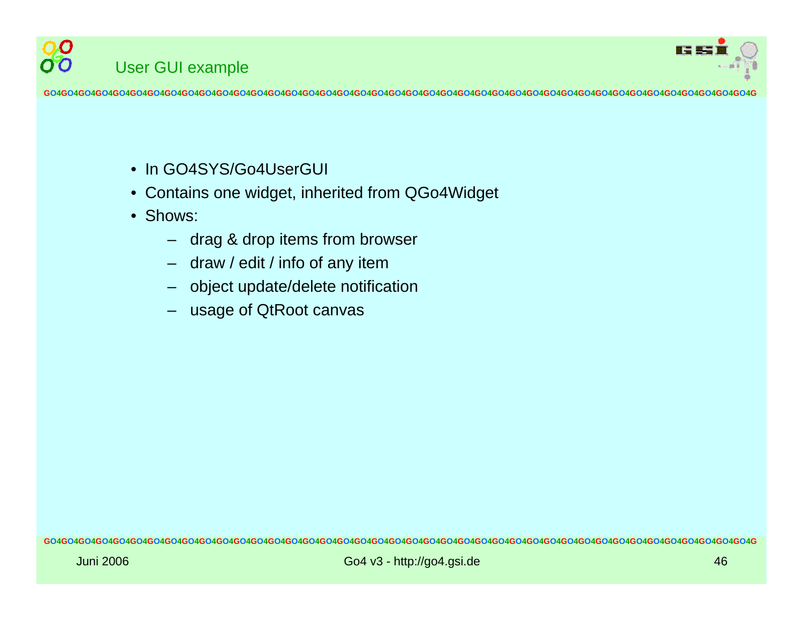

- In GO4SYS/Go4UserGUI
- •Contains one widget, inherited from Q Go4Widget
- Shows:

User G UI example

00

- drag & drop items from browser
- draw / edit / info of any item
- object update/delete notification
- usage of QtRoot canvas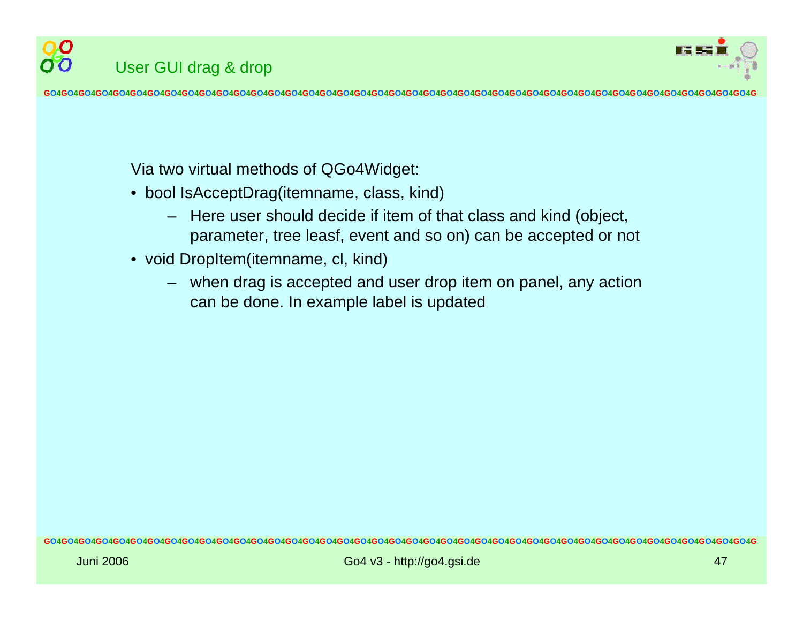

Via two virtual methods of Q Go4Widget:

User G UI drag & drop

- bool IsAcceptDrag(itemname, class, kind)
	- Here user should decide if item of that class and kind (object, parameter, tree leasf, event and so on) can be accepted or not
- void DropItem(itemname, cl, kind)
	- when drag is accepted and user drop item on panel, any action can be done. In example label is updated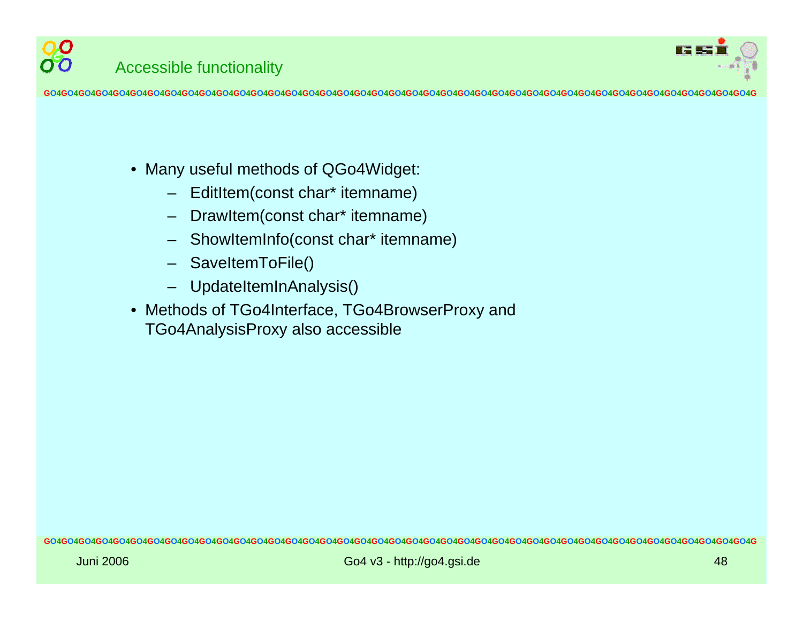

- Many useful methods of QGo4Widget:
	- EditItem(const char\* itemname)
	- DrawItem(const char\* itemname)
	- ShowItemInfo(const char\* itemname)
	- SaveItemToFile()
	- UpdateItemInAnalysis()
- •Methods of TGo4Interface, TGo4BrowserProxy and TGo4An alysisPr oxy also accessi ble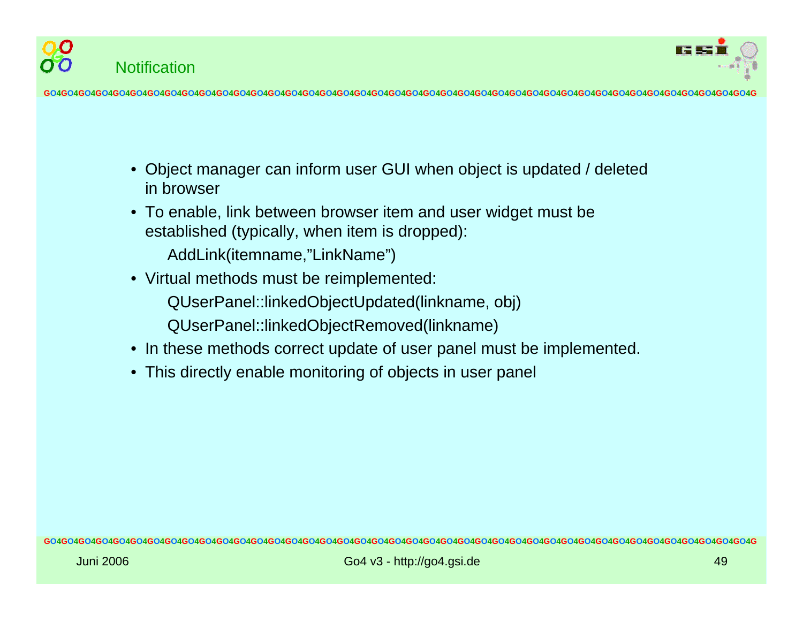



- $\bullet$ Object manager can inform user GUI when object is updated / deleted in browser
- To enable, link between browser item and user widget must be established (typically, when item is dropped):

AddLink(itemname,"LinkName")

• Virtual methods must be reimplemented:

QUserPanel::linkedObjectUpdated(linkname, obj)

- QUserPanel::linkedObjectRemoved(linkname)
- In these methods correct update of user panel must be implemented.
- This directly enable monitoring of objects in user panel